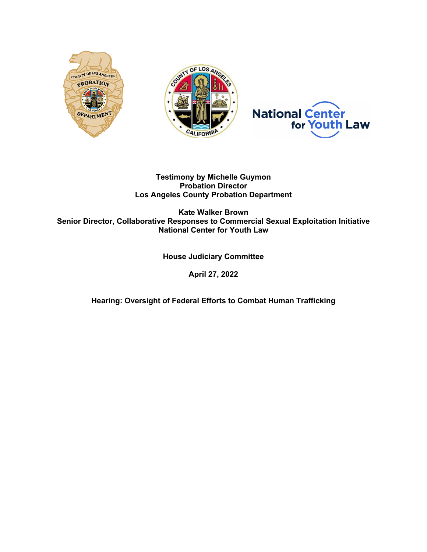

# **Testimony by Michelle Guymon Probation Director Los Angeles County Probation Department**

**Kate Walker Brown Senior Director, Collaborative Responses to Commercial Sexual Exploitation Initiative National Center for Youth Law** 

# **House Judiciary Committee**

**April 27, 2022**

**Hearing: Oversight of Federal Efforts to Combat Human Trafficking**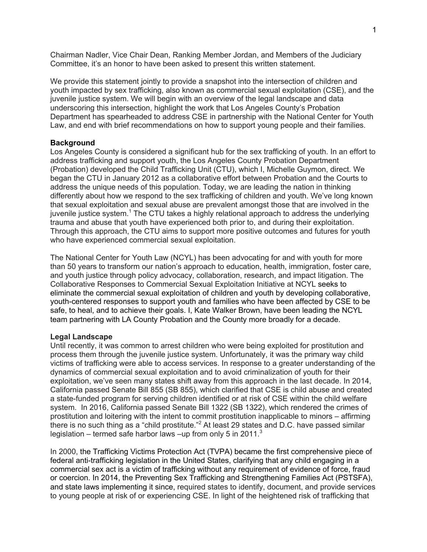Chairman Nadler, Vice Chair Dean, Ranking Member Jordan, and Members of the Judiciary Committee, it's an honor to have been asked to present this written statement.

We provide this statement jointly to provide a snapshot into the intersection of children and youth impacted by sex trafficking, also known as commercial sexual exploitation (CSE), and the juvenile justice system. We will begin with an overview of the legal landscape and data underscoring this intersection, highlight the work that Los Angeles County's Probation Department has spearheaded to address CSE in partnership with the National Center for Youth Law, and end with brief recommendations on how to support young people and their families.

#### **Background**

Los Angeles County is considered a significant hub for the sex trafficking of youth. In an effort to address trafficking and support youth, the Los Angeles County Probation Department (Probation) developed the Child Trafficking Unit (CTU), which I, Michelle Guymon, direct. We began the CTU in January 2012 as a collaborative effort between Probation and the Courts to address the unique needs of this population. Today, we are leading the nation in thinking differently about how we respond to the sex trafficking of children and youth. We've long known that sexual exploitation and sexual abuse are prevalent amongst those that are involved in the juvenile justice system.<sup>1</sup> The CTU takes a highly relational approach to address the underlying trauma and abuse that youth have experienced both prior to, and during their exploitation. Through this approach, the CTU aims to support more positive outcomes and futures for youth who have experienced commercial sexual exploitation.

The National Center for Youth Law (NCYL) has been advocating for and with youth for more than 50 years to transform our nation's approach to education, health, immigration, foster care, and youth justice through policy advocacy, collaboration, research, and impact litigation. The Collaborative Responses to Commercial Sexual Exploitation Initiative at NCYL seeks to eliminate the commercial sexual exploitation of children and youth by developing collaborative, youth-centered responses to support youth and families who have been affected by CSE to be safe, to heal, and to achieve their goals. I, Kate Walker Brown, have been leading the NCYL team partnering with LA County Probation and the County more broadly for a decade.

#### **Legal Landscape**

Until recently, it was common to arrest children who were being exploited for prostitution and process them through the juvenile justice system. Unfortunately, it was the primary way child victims of trafficking were able to access services. In response to a greater understanding of the dynamics of commercial sexual exploitation and to avoid criminalization of youth for their exploitation, we've seen many states shift away from this approach in the last decade. In 2014, California passed Senate Bill 855 (SB 855), which clarified that CSE is child abuse and created a state-funded program for serving children identified or at risk of CSE within the child welfare system. In 2016, California passed Senate Bill 1322 (SB 1322), which rendered the crimes of prostitution and loitering with the intent to commit prostitution inapplicable to minors – affirming there is no such thing as a "child prostitute."<sup>2</sup> At least 29 states and D.C. have passed similar legislation – termed safe harbor laws –up from only 5 in 2011. $3$ 

In 2000, the Trafficking Victims Protection Act (TVPA) became the first comprehensive piece of federal anti-trafficking legislation in the United States, clarifying that any child engaging in a commercial sex act is a victim of trafficking without any requirement of evidence of force, fraud or coercion. In 2014, the Preventing Sex Trafficking and Strengthening Families Act (PSTSFA), and state laws implementing it since, required states to identify, document, and provide services to young people at risk of or experiencing CSE. In light of the heightened risk of trafficking that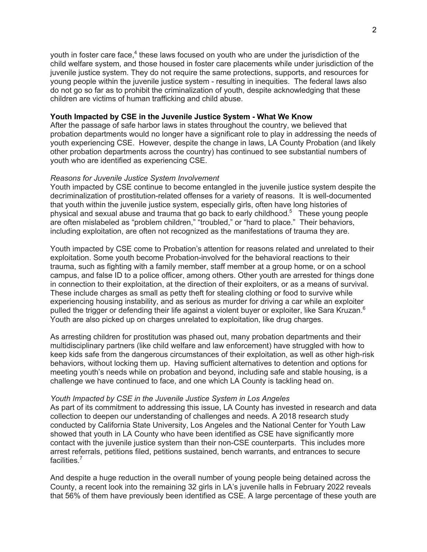youth in foster care face.<sup>4</sup> these laws focused on youth who are under the jurisdiction of the child welfare system, and those housed in foster care placements while under jurisdiction of the juvenile justice system. They do not require the same protections, supports, and resources for young people within the juvenile justice system - resulting in inequities. The federal laws also do not go so far as to prohibit the criminalization of youth, despite acknowledging that these children are victims of human trafficking and child abuse.

### **Youth Impacted by CSE in the Juvenile Justice System - What We Know**

After the passage of safe harbor laws in states throughout the country, we believed that probation departments would no longer have a significant role to play in addressing the needs of youth experiencing CSE. However, despite the change in laws, LA County Probation (and likely other probation departments across the country) has continued to see substantial numbers of youth who are identified as experiencing CSE.

#### *Reasons for Juvenile Justice System Involvement*

Youth impacted by CSE continue to become entangled in the juvenile justice system despite the decriminalization of prostitution-related offenses for a variety of reasons. It is well-documented that youth within the juvenile justice system, especially girls, often have long histories of physical and sexual abuse and trauma that go back to early childhood.5 These young people are often mislabeled as "problem children," "troubled," or "hard to place." Their behaviors, including exploitation, are often not recognized as the manifestations of trauma they are.

Youth impacted by CSE come to Probation's attention for reasons related and unrelated to their exploitation. Some youth become Probation-involved for the behavioral reactions to their trauma, such as fighting with a family member, staff member at a group home, or on a school campus, and false ID to a police officer, among others. Other youth are arrested for things done in connection to their exploitation, at the direction of their exploiters, or as a means of survival. These include charges as small as petty theft for stealing clothing or food to survive while experiencing housing instability, and as serious as murder for driving a car while an exploiter pulled the trigger or defending their life against a violent buyer or exploiter, like Sara Kruzan.<sup>6</sup> Youth are also picked up on charges unrelated to exploitation, like drug charges.

As arresting children for prostitution was phased out, many probation departments and their multidisciplinary partners (like child welfare and law enforcement) have struggled with how to keep kids safe from the dangerous circumstances of their exploitation, as well as other high-risk behaviors, without locking them up. Having sufficient alternatives to detention and options for meeting youth's needs while on probation and beyond, including safe and stable housing, is a challenge we have continued to face, and one which LA County is tackling head on.

#### *Youth Impacted by CSE in the Juvenile Justice System in Los Angeles*

As part of its commitment to addressing this issue, LA County has invested in research and data collection to deepen our understanding of challenges and needs. A 2018 research study conducted by California State University, Los Angeles and the National Center for Youth Law showed that youth in LA County who have been identified as CSE have significantly more contact with the juvenile justice system than their non-CSE counterparts. This includes more arrest referrals, petitions filed, petitions sustained, bench warrants, and entrances to secure facilities.<sup>7</sup>

And despite a huge reduction in the overall number of young people being detained across the County, a recent look into the remaining 32 girls in LA's juvenile halls in February 2022 reveals that 56% of them have previously been identified as CSE. A large percentage of these youth are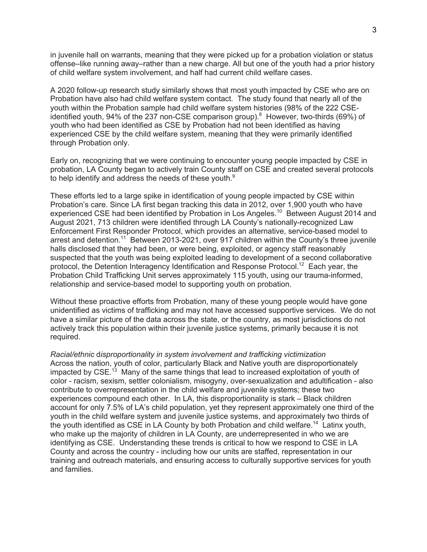in juvenile hall on warrants, meaning that they were picked up for a probation violation or status offense–like running away–rather than a new charge. All but one of the youth had a prior history of child welfare system involvement, and half had current child welfare cases.

A 2020 follow-up research study similarly shows that most youth impacted by CSE who are on Probation have also had child welfare system contact. The study found that nearly all of the youth within the Probation sample had child welfare system histories (98% of the 222 CSEidentified youth, 94% of the 237 non-CSE comparison group).<sup>8</sup> However, two-thirds (69%) of youth who had been identified as CSE by Probation had not been identified as having experienced CSE by the child welfare system, meaning that they were primarily identified through Probation only.

Early on, recognizing that we were continuing to encounter young people impacted by CSE in probation, LA County began to actively train County staff on CSE and created several protocols to help identify and address the needs of these youth. $9$ 

These efforts led to a large spike in identification of young people impacted by CSE within Probation's care. Since LA first began tracking this data in 2012, over 1,900 youth who have experienced CSE had been identified by Probation in Los Angeles.10 Between August 2014 and August 2021, 713 children were identified through LA County's nationally-recognized Law Enforcement First Responder Protocol, which provides an alternative, service-based model to arrest and detention.<sup>11</sup> Between 2013-2021, over 917 children within the County's three juvenile halls disclosed that they had been, or were being, exploited, or agency staff reasonably suspected that the youth was being exploited leading to development of a second collaborative protocol, the Detention Interagency Identification and Response Protocol.<sup>12</sup> Each year, the Probation Child Trafficking Unit serves approximately 115 youth, using our trauma-informed, relationship and service-based model to supporting youth on probation.

Without these proactive efforts from Probation, many of these young people would have gone unidentified as victims of trafficking and may not have accessed supportive services. We do not have a similar picture of the data across the state, or the country, as most jurisdictions do not actively track this population within their juvenile justice systems, primarily because it is not required.

*Racial/ethnic* d*isproportionality in system involvement and trafficking victimization* Across the nation, youth of color, particularly Black and Native youth are disproportionately impacted by CSE.<sup>13</sup> Many of the same things that lead to increased exploitation of youth of color - racism, sexism, settler colonialism, misogyny, over-sexualization and adultification - also contribute to overrepresentation in the child welfare and juvenile systems; these two experiences compound each other. In LA, this disproportionality is stark – Black children account for only 7.5% of LA's child population, yet they represent approximately one third of the youth in the child welfare system and juvenile justice systems, and approximately two thirds of the youth identified as CSE in LA County by both Probation and child welfare.<sup>14</sup> Latinx youth, who make up the majority of children in LA County, are underrepresented in who we are identifying as CSE. Understanding these trends is critical to how we respond to CSE in LA County and across the country - including how our units are staffed, representation in our training and outreach materials, and ensuring access to culturally supportive services for youth and families.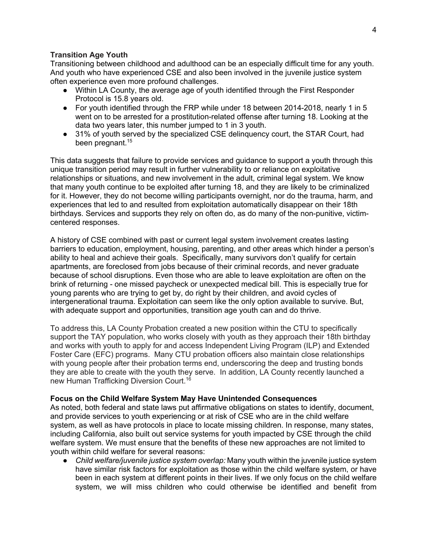### **Transition Age Youth**

Transitioning between childhood and adulthood can be an especially difficult time for any youth. And youth who have experienced CSE and also been involved in the juvenile justice system often experience even more profound challenges.

- Within LA County, the average age of youth identified through the First Responder Protocol is 15.8 years old.
- For youth identified through the FRP while under 18 between 2014-2018, nearly 1 in 5 went on to be arrested for a prostitution-related offense after turning 18. Looking at the data two years later, this number jumped to 1 in 3 youth.
- 31% of youth served by the specialized CSE delinguency court, the STAR Court, had been pregnant. 15

This data suggests that failure to provide services and guidance to support a youth through this unique transition period may result in further vulnerability to or reliance on exploitative relationships or situations, and new involvement in the adult, criminal legal system. We know that many youth continue to be exploited after turning 18, and they are likely to be criminalized for it. However, they do not become willing participants overnight, nor do the trauma, harm, and experiences that led to and resulted from exploitation automatically disappear on their 18th birthdays. Services and supports they rely on often do, as do many of the non-punitive, victimcentered responses.

A history of CSE combined with past or current legal system involvement creates lasting barriers to education, employment, housing, parenting, and other areas which hinder a person's ability to heal and achieve their goals. Specifically, many survivors don't qualify for certain apartments, are foreclosed from jobs because of their criminal records, and never graduate because of school disruptions. Even those who are able to leave exploitation are often on the brink of returning - one missed paycheck or unexpected medical bill. This is especially true for young parents who are trying to get by, do right by their children, and avoid cycles of intergenerational trauma. Exploitation can seem like the only option available to survive. But, with adequate support and opportunities, transition age youth can and do thrive.

To address this, LA County Probation created a new position within the CTU to specifically support the TAY population, who works closely with youth as they approach their 18th birthday and works with youth to apply for and access Independent Living Program (ILP) and Extended Foster Care (EFC) programs. Many CTU probation officers also maintain close relationships with young people after their probation terms end, underscoring the deep and trusting bonds they are able to create with the youth they serve. In addition, LA County recently launched a new Human Trafficking Diversion Court.<sup>16</sup>

#### **Focus on the Child Welfare System May Have Unintended Consequences**

As noted, both federal and state laws put affirmative obligations on states to identify, document, and provide services to youth experiencing or at risk of CSE who are in the child welfare system, as well as have protocols in place to locate missing children. In response, many states, including California, also built out service systems for youth impacted by CSE through the child welfare system. We must ensure that the benefits of these new approaches are not limited to youth within child welfare for several reasons:

● *Child welfare/juvenile justice system overlap:* Many youth within the juvenile justice system have similar risk factors for exploitation as those within the child welfare system, or have been in each system at different points in their lives. If we only focus on the child welfare system, we will miss children who could otherwise be identified and benefit from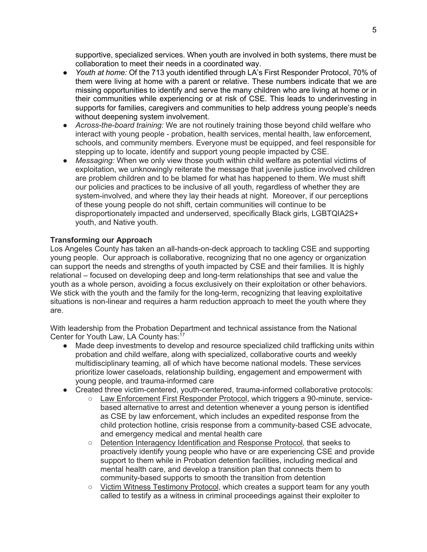supportive, specialized services. When youth are involved in both systems, there must be collaboration to meet their needs in a coordinated way.

- *Youth at home:* Of the 713 youth identified through LA's First Responder Protocol, 70% of them were living at home with a parent or relative. These numbers indicate that we are missing opportunities to identify and serve the many children who are living at home or in their communities while experiencing or at risk of CSE. This leads to underinvesting in supports for families, caregivers and communities to help address young people's needs without deepening system involvement.
- *Across-the-board training:* We are not routinely training those beyond child welfare who interact with young people - probation, health services, mental health, law enforcement, schools, and community members. Everyone must be equipped, and feel responsible for stepping up to locate, identify and support young people impacted by CSE.
- *Messaging:* When we only view those youth within child welfare as potential victims of exploitation, we unknowingly reiterate the message that juvenile justice involved children are problem children and to be blamed for what has happened to them. We must shift our policies and practices to be inclusive of all youth, regardless of whether they are system-involved, and where they lay their heads at night. Moreover, if our perceptions of these young people do not shift, certain communities will continue to be disproportionately impacted and underserved, specifically Black girls, LGBTQIA2S+ youth, and Native youth.

# **Transforming our Approach**

Los Angeles County has taken an all-hands-on-deck approach to tackling CSE and supporting young people. Our approach is collaborative, recognizing that no one agency or organization can support the needs and strengths of youth impacted by CSE and their families. It is highly relational – focused on developing deep and long-term relationships that see and value the youth as a whole person, avoiding a focus exclusively on their exploitation or other behaviors. We stick with the youth and the family for the long-term, recognizing that leaving exploitative situations is non-linear and requires a harm reduction approach to meet the youth where they are.

With leadership from the Probation Department and technical assistance from the National Center for Youth Law, LA County has:<sup>17</sup>

- Made deep investments to develop and resource specialized child trafficking units within probation and child welfare, along with specialized, collaborative courts and weekly multidisciplinary teaming, all of which have become national models. These services prioritize lower caseloads, relationship building, engagement and empowerment with young people, and trauma-informed care
- Created three victim-centered, youth-centered, trauma-informed collaborative protocols:
	- Law Enforcement First Responder Protocol, which triggers a 90-minute, servicebased alternative to arrest and detention whenever a young person is identified as CSE by law enforcement, which includes an expedited response from the child protection hotline, crisis response from a community-based CSE advocate, and emergency medical and mental health care
	- Detention Interagency Identification and Response Protocol, that seeks to proactively identify young people who have or are experiencing CSE and provide support to them while in Probation detention facilities, including medical and mental health care, and develop a transition plan that connects them to community-based supports to smooth the transition from detention
	- Victim Witness Testimony Protocol, which creates a support team for any youth called to testify as a witness in criminal proceedings against their exploiter to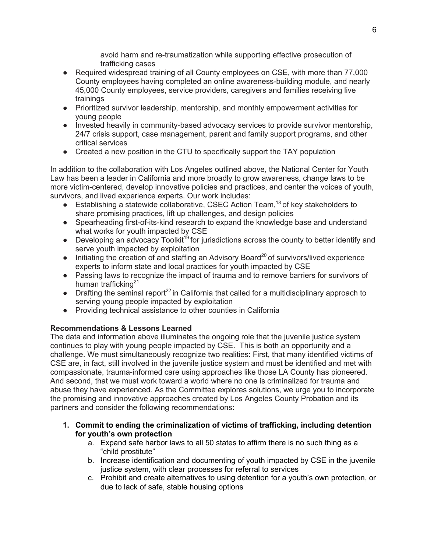avoid harm and re-traumatization while supporting effective prosecution of trafficking cases

- Required widespread training of all County employees on CSE, with more than 77,000 County employees having completed an online awareness-building module, and nearly 45,000 County employees, service providers, caregivers and families receiving live trainings
- Prioritized survivor leadership, mentorship, and monthly empowerment activities for young people
- Invested heavily in community-based advocacy services to provide survivor mentorship, 24/7 crisis support, case management, parent and family support programs, and other critical services
- Created a new position in the CTU to specifically support the TAY population

In addition to the collaboration with Los Angeles outlined above, the National Center for Youth Law has been a leader in California and more broadly to grow awareness, change laws to be more victim-centered, develop innovative policies and practices, and center the voices of youth, survivors, and lived experience experts. Our work includes:

- **•** Establishing a statewide collaborative, CSEC Action Team,  $^{18}$  of key stakeholders to share promising practices, lift up challenges, and design policies
- Spearheading first-of-its-kind research to expand the knowledge base and understand what works for youth impacted by CSE
- Developing an advocacy Toolkit<sup>19</sup> for jurisdictions across the county to better identify and serve youth impacted by exploitation
- $\bullet$  Initiating the creation of and staffing an Advisory Board<sup>20</sup> of survivors/lived experience experts to inform state and local practices for youth impacted by CSE
- Passing laws to recognize the impact of trauma and to remove barriers for survivors of human trafficking $21$
- Drafting the seminal report<sup>22</sup> in California that called for a multidisciplinary approach to serving young people impacted by exploitation
- Providing technical assistance to other counties in California

# **Recommendations & Lessons Learned**

The data and information above illuminates the ongoing role that the juvenile justice system continues to play with young people impacted by CSE. This is both an opportunity and a challenge. We must simultaneously recognize two realities: First, that many identified victims of CSE are, in fact, still involved in the juvenile justice system and must be identified and met with compassionate, trauma-informed care using approaches like those LA County has pioneered. And second, that we must work toward a world where no one is criminalized for trauma and abuse they have experienced. As the Committee explores solutions, we urge you to incorporate the promising and innovative approaches created by Los Angeles County Probation and its partners and consider the following recommendations:

- **1. Commit to ending the criminalization of victims of trafficking, including detention for youth's own protection**
	- a. Expand safe harbor laws to all 50 states to affirm there is no such thing as a "child prostitute"
	- b. Increase identification and documenting of youth impacted by CSE in the juvenile justice system, with clear processes for referral to services
	- c. Prohibit and create alternatives to using detention for a youth's own protection, or due to lack of safe, stable housing options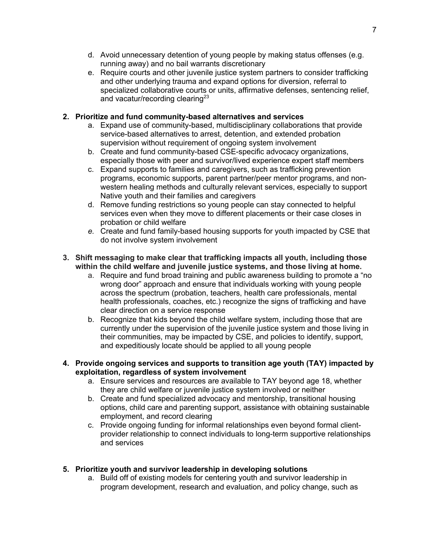- d. Avoid unnecessary detention of young people by making status offenses (e.g. running away) and no bail warrants discretionary
- e. Require courts and other juvenile justice system partners to consider trafficking and other underlying trauma and expand options for diversion, referral to specialized collaborative courts or units, affirmative defenses, sentencing relief, and vacatur/recording clearing $^{23}$

# **2. Prioritize and fund community-based alternatives and services**

- a. Expand use of community-based, multidisciplinary collaborations that provide service-based alternatives to arrest, detention, and extended probation supervision without requirement of ongoing system involvement
- b. Create and fund community-based CSE-specific advocacy organizations, especially those with peer and survivor/lived experience expert staff members
- c. Expand supports to families and caregivers, such as trafficking prevention programs, economic supports, parent partner/peer mentor programs, and nonwestern healing methods and culturally relevant services, especially to support Native youth and their families and caregivers
- d. Remove funding restrictions so young people can stay connected to helpful services even when they move to different placements or their case closes in probation or child welfare
- *e.* Create and fund family-based housing supports for youth impacted by CSE that do not involve system involvement
- **3. Shift messaging to make clear that trafficking impacts all youth, including those within the child welfare and juvenile justice systems, and those living at home.**
	- a. Require and fund broad training and public awareness building to promote a "no wrong door" approach and ensure that individuals working with young people across the spectrum (probation, teachers, health care professionals, mental health professionals, coaches, etc.) recognize the signs of trafficking and have clear direction on a service response
	- b. Recognize that kids beyond the child welfare system, including those that are currently under the supervision of the juvenile justice system and those living in their communities, may be impacted by CSE, and policies to identify, support, and expeditiously locate should be applied to all young people
- **4. Provide ongoing services and supports to transition age youth (TAY) impacted by exploitation, regardless of system involvement**
	- a. Ensure services and resources are available to TAY beyond age 18, whether they are child welfare or juvenile justice system involved or neither
	- b. Create and fund specialized advocacy and mentorship, transitional housing options, child care and parenting support, assistance with obtaining sustainable employment, and record clearing
	- c. Provide ongoing funding for informal relationships even beyond formal clientprovider relationship to connect individuals to long-term supportive relationships and services

# **5. Prioritize youth and survivor leadership in developing solutions**

a. Build off of existing models for centering youth and survivor leadership in program development, research and evaluation, and policy change, such as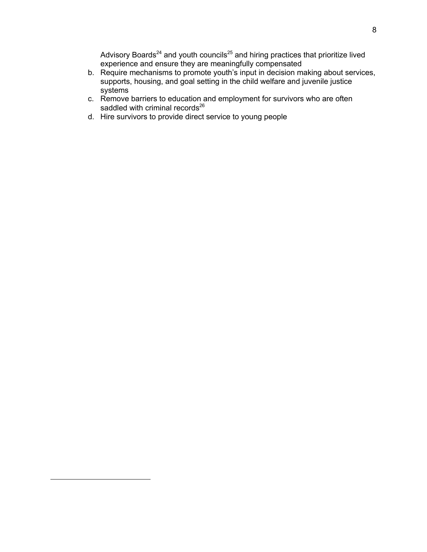Advisory Boards $24$  and youth councils $25$  and hiring practices that prioritize lived experience and ensure they are meaningfully compensated

- b. Require mechanisms to promote youth's input in decision making about services, supports, housing, and goal setting in the child welfare and juvenile justice systems
- c. Remove barriers to education and employment for survivors who are often saddled with criminal records $^{26}$
- d. Hire survivors to provide direct service to young people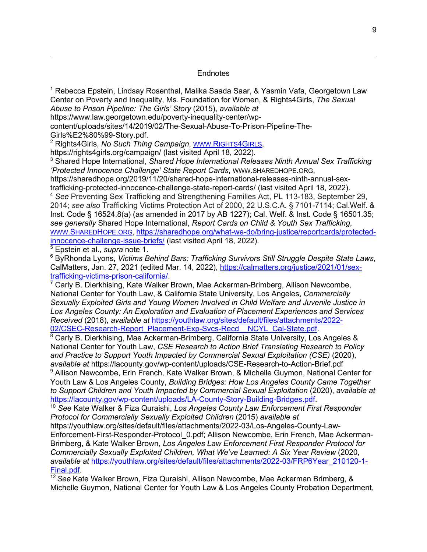### **Endnotes**

<sup>1</sup> Rebecca Epstein, Lindsay Rosenthal, Malika Saada Saar, & Yasmin Vafa, Georgetown Law Center on Poverty and Inequality, Ms. Foundation for Women, & Rights4Girls, *The Sexual Abuse to Prison Pipeline: The Girls' Story* (2015), *available at*

https://www.law.georgetown.edu/poverty-inequality-center/wp-

content/uploads/sites/14/2019/02/The-Sexual-Abuse-To-Prison-Pipeline-The-

Girls%E2%80%99-Story.pdf.

<sup>2</sup> Rights4Girls, *No Such Thing Campaign*, WWW.RIGHTS4GIRLS,

https://rights4girls.org/campaign/ (last visited April 18, 2022).

<sup>3</sup> Shared Hope International, *Shared Hope International Releases Ninth Annual Sex Trafficking 'Protected Innocence Challenge' State Report Cards*, WWW.SHAREDHOPE.ORG,

https://sharedhope.org/2019/11/20/shared-hope-international-releases-ninth-annual-sextrafficking-protected-innocence-challenge-state-report-cards/ (last visited April 18, 2022).

<sup>4</sup> *See* Preventing Sex Trafficking and Strengthening Families Act, PL 113-183, September 29, 2014; *see also* Trafficking Victims Protection Act of 2000, 22 U.S.C.A. § 7101-7114; Cal.Welf. & Inst. Code § 16524.8(a) (as amended in 2017 by AB 1227); Cal. Welf. & Inst. Code § 16501.35; *see generally* Shared Hope International, *Report Cards on Child & Youth Sex Trafficking*, WWW.SHAREDHOPE.ORG, https://sharedhope.org/what-we-do/bring-justice/reportcards/protectedinnocence-challenge-issue-briefs/ (last visited April 18, 2022).

<sup>5</sup> Epstein et al., *supra* note 1.

<sup>6</sup> ByRhonda Lyons, *Victims Behind Bars: Trafficking Survivors Still Struggle Despite State Laws*, CalMatters, Jan. 27, 2021 (edited Mar. 14, 2022), https://calmatters.org/justice/2021/01/sex-<u>trafficking-victims-prison-california/</u>.<br><sup>7</sup> Carly B. Dierkhising, Kate Walker Brown, Mae Ackerman-Brimberg, Allison Newcombe,

National Center for Youth Law, & California State University, Los Angeles, *Commercially Sexually Exploited Girls and Young Women Involved in Child Welfare and Juvenile Justice in Los Angeles County: An Exploration and Evaluation of Placement Experiences and Services Received* (2018), *available at* https://youthlaw.org/sites/default/files/attachments/2022- 02/CSEC-Research-Report\_Placement-Exp-Svcs-Recd\_\_NCYL\_Cal-State.pdf.

<sup>8</sup> Carly B. Dierkhising, Mae Ackerman-Brimberg, California State University, Los Angeles & National Center for Youth Law, *CSE Research to Action Brief Translating Research to Policy and Practice to Support Youth Impacted by Commercial Sexual Exploitation (CSE)* (2020), *available at* https://lacounty.gov/wp-content/uploads/CSE-Research-to-Action-Brief.pdf

<sup>9</sup> Allison Newcombe, Erin French, Kate Walker Brown, & Michelle Guymon, National Center for Youth Law & Los Angeles County, *Building Bridges: How Los Angeles County Came Together to Support Children and Youth Impacted by Commercial Sexual Exploitation* (2020), *available at*  https://lacounty.gov/wp-content/uploads/LA-County-Story-Building-Bridges.pdf. 10 *See* Kate Walker & Fiza Quraishi, *Los Angeles County Law Enforcement First Responder* 

*Protocol for Commercially Sexually Exploited Children* (2015) *available at* https://youthlaw.org/sites/default/files/attachments/2022-03/Los-Angeles-County-Law-Enforcement-First-Responder-Protocol\_0.pdf; Allison Newcombe, Erin French, Mae Ackerman-Brimberg, & Kate Walker Brown, *Los Angeles Law Enforcement First Responder Protocol for Commercially Sexually Exploited Children, What We've Learned: A Six Year Review* (2020,

*available at* https://youthlaw.org/sites/default/files/attachments/2022-03/FRP6Year\_210120-1- Final.pdf

<sup>12</sup> See Kate Walker Brown, Fiza Quraishi, Allison Newcombe, Mae Ackerman Brimberg, & Michelle Guymon, National Center for Youth Law & Los Angeles County Probation Department,